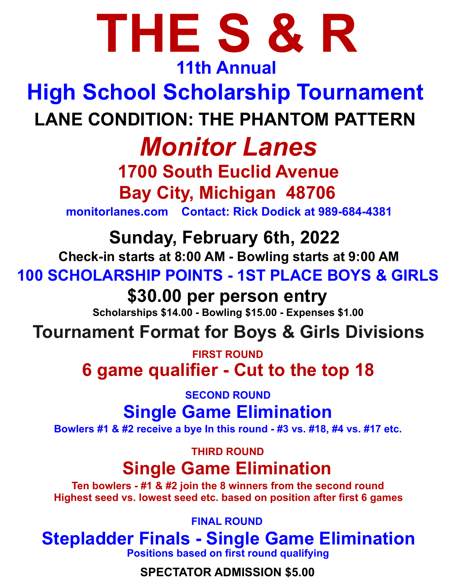# **THE S & R**

#### **11th Annual**

# **High School Scholarship Tournament LANE CONDITION: THE PHANTOM PATTERN**

# *Monitor Lanes*

# **1700 South Euclid Avenue**

**Bay City, Michigan 48706** 

**monitorlanes.com Contact: Rick Dodick at 989-684-4381**

**Sunday, February 6th, 2022** 

**Check-in starts at 8:00 AM - Bowling starts at 9:00 AM**

**100 SCHOLARSHIP POINTS - 1ST PLACE BOYS & GIRLS**

#### **\$30.00 per person entry**

**Scholarships \$14.00 - Bowling \$15.00 - Expenses \$1.00**

## **Tournament Format for Boys & Girls Divisions**

**6 game qualifier - Cut to the top 18 FIRST ROUND**

**SECOND ROUND**

## **Single Game Elimination**

**Bowlers #1 & #2 receive a bye In this round - #3 vs. #18, #4 vs. #17 etc.**

**THIRD ROUND**

## **Single Game Elimination**

**Ten bowlers - #1 & #2 join the 8 winners from the second round Highest seed vs. lowest seed etc. based on position after first 6 games** 

**FINAL ROUND**

## **Stepladder Finals - Single Game Elimination**

**Positions based on first round qualifying**

**SPECTATOR ADMISSION \$5.00**